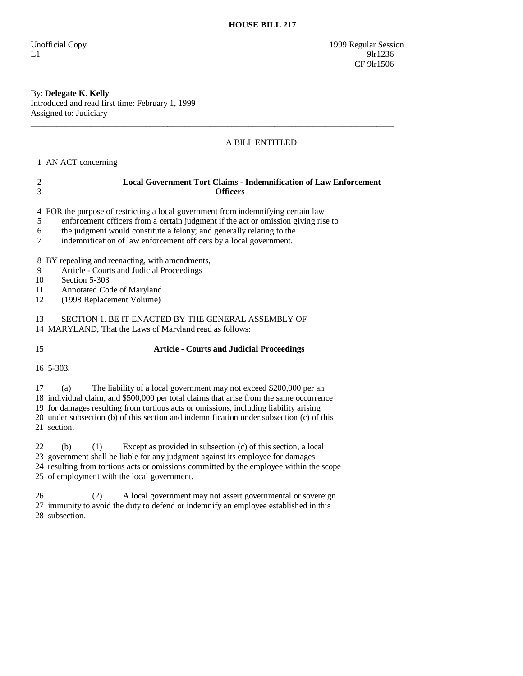## By: **Delegate K. Kelly**

Introduced and read first time: February 1, 1999 Assigned to: Judiciary

## A BILL ENTITLED

1 AN ACT concerning

| 3                                               | <b>Officers</b>                                                                                                                                                                                                                                                                                                      |
|-------------------------------------------------|----------------------------------------------------------------------------------------------------------------------------------------------------------------------------------------------------------------------------------------------------------------------------------------------------------------------|
| 4<br>5<br>6                                     | FOR the purpose of restricting a local government from indemnifying certain law<br>enforcement officers from a certain judgment if the act or omission giving rise to<br>the judgment would constitute a felony; and generally relating to the<br>indemnification of law enforcement officers by a local government. |
| 8 BY repealing and reenacting, with amendments, |                                                                                                                                                                                                                                                                                                                      |
| 9                                               | Article - Courts and Judicial Proceedings                                                                                                                                                                                                                                                                            |
| 10                                              | Section 5-303                                                                                                                                                                                                                                                                                                        |
| 11                                              | Annotated Code of Maryland                                                                                                                                                                                                                                                                                           |
| 12                                              | (1998 Replacement Volume)                                                                                                                                                                                                                                                                                            |
| 13                                              | SECTION 1. BE IT ENACTED BY THE GENERAL ASSEMBLY OF<br>14 MARYLAND, That the Laws of Maryland read as follows:                                                                                                                                                                                                       |
| 15                                              | <b>Article - Courts and Judicial Proceedings</b>                                                                                                                                                                                                                                                                     |
| 16 5-303.                                       |                                                                                                                                                                                                                                                                                                                      |

\_\_\_\_\_\_\_\_\_\_\_\_\_\_\_\_\_\_\_\_\_\_\_\_\_\_\_\_\_\_\_\_\_\_\_\_\_\_\_\_\_\_\_\_\_\_\_\_\_\_\_\_\_\_\_\_\_\_\_\_\_\_\_\_\_\_\_\_\_\_\_\_\_\_\_\_\_\_\_\_\_\_\_\_

\_\_\_\_\_\_\_\_\_\_\_\_\_\_\_\_\_\_\_\_\_\_\_\_\_\_\_\_\_\_\_\_\_\_\_\_\_\_\_\_\_\_\_\_\_\_\_\_\_\_\_\_\_\_\_\_\_\_\_\_\_\_\_\_\_\_\_\_\_\_\_\_\_\_\_\_\_\_\_\_\_\_\_\_\_

2 **Local Government Tort Claims - Indemnification of Law Enforcement** 

17 (a) The liability of a local government may not exceed \$200,000 per an

18 individual claim, and \$500,000 per total claims that arise from the same occurrence

 19 for damages resulting from tortious acts or omissions, including liability arising 20 under subsection (b) of this section and indemnification under subsection (c) of this

21 section.

 22 (b) (1) Except as provided in subsection (c) of this section, a local 23 government shall be liable for any judgment against its employee for damages 24 resulting from tortious acts or omissions committed by the employee within the scope 25 of employment with the local government.

 26 (2) A local government may not assert governmental or sovereign 27 immunity to avoid the duty to defend or indemnify an employee established in this 28 subsection.